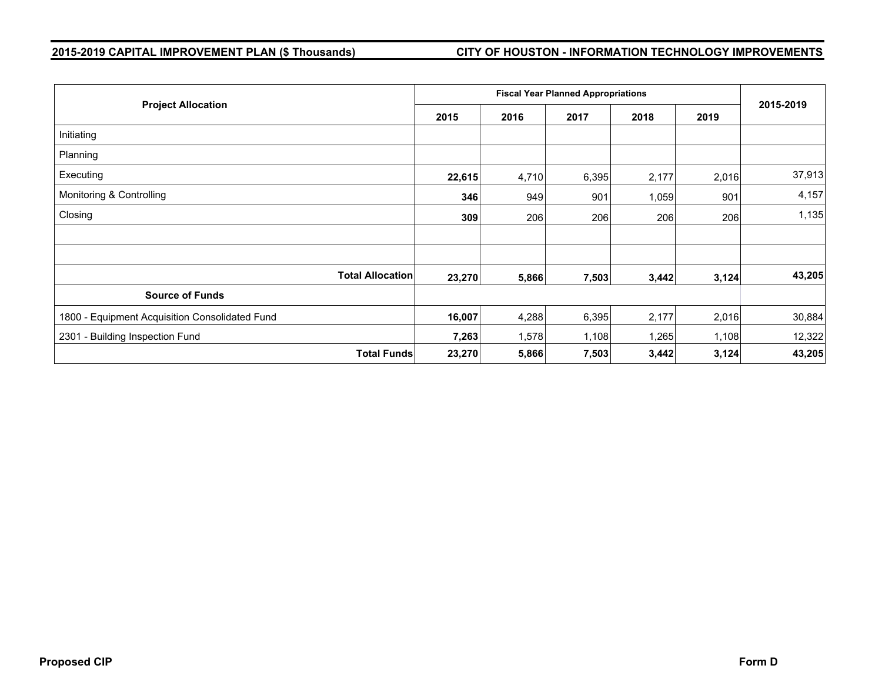# **2015-2019 CAPITAL IMPROVEMENT PLAN (\$ Thousands) CITY OF HOUSTON - INFORMATION TECHNOLOGY IMPROVEMENTS**

|                                                |        | <b>Fiscal Year Planned Appropriations</b> |       |       |       |           |  |  |
|------------------------------------------------|--------|-------------------------------------------|-------|-------|-------|-----------|--|--|
| <b>Project Allocation</b>                      | 2015   | 2016                                      | 2017  | 2018  | 2019  | 2015-2019 |  |  |
| Initiating                                     |        |                                           |       |       |       |           |  |  |
| Planning                                       |        |                                           |       |       |       |           |  |  |
| Executing                                      | 22,615 | 4,710                                     | 6,395 | 2,177 | 2,016 | 37,913    |  |  |
| Monitoring & Controlling                       | 346    | 949                                       | 901   | 1,059 | 901   | 4,157     |  |  |
| Closing                                        | 309    | 206                                       | 206   | 206   | 206   | 1,135     |  |  |
|                                                |        |                                           |       |       |       |           |  |  |
|                                                |        |                                           |       |       |       |           |  |  |
| <b>Total Allocation</b>                        | 23,270 | 5,866                                     | 7,503 | 3,442 | 3,124 | 43,205    |  |  |
| <b>Source of Funds</b>                         |        |                                           |       |       |       |           |  |  |
| 1800 - Equipment Acquisition Consolidated Fund | 16,007 | 4,288                                     | 6,395 | 2,177 | 2,016 | 30,884    |  |  |
| 2301 - Building Inspection Fund                | 7,263  | 1,578                                     | 1,108 | 1,265 | 1,108 | 12,322    |  |  |
| <b>Total Funds</b>                             | 23,270 | 5,866                                     | 7,503 | 3,442 | 3,124 | 43,205    |  |  |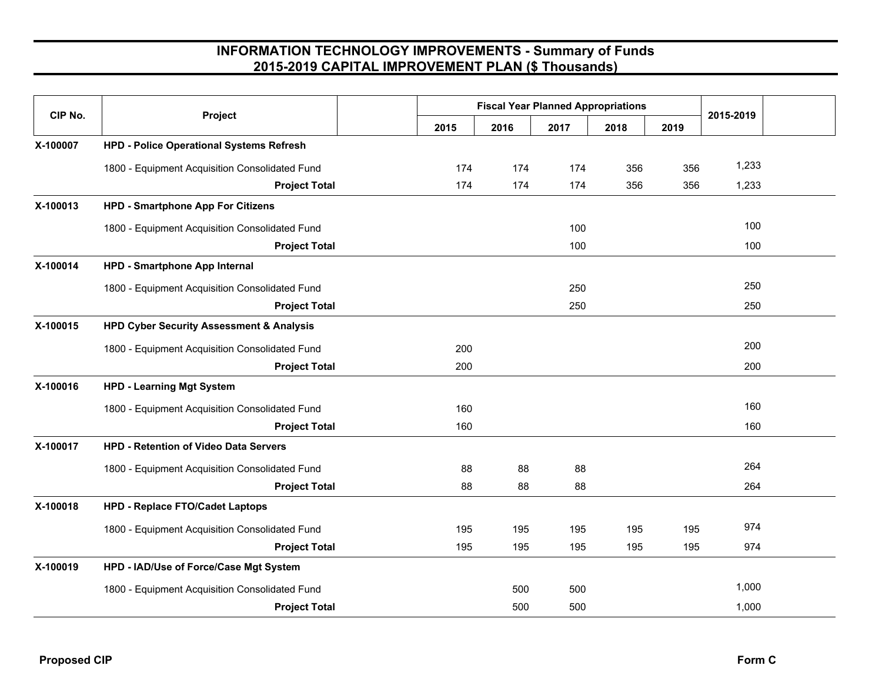| CIP No.  |                                                     |      | <b>Fiscal Year Planned Appropriations</b> |      |      |      |           |  |
|----------|-----------------------------------------------------|------|-------------------------------------------|------|------|------|-----------|--|
|          | Project                                             | 2015 | 2016                                      | 2017 | 2018 | 2019 | 2015-2019 |  |
| X-100007 | <b>HPD - Police Operational Systems Refresh</b>     |      |                                           |      |      |      |           |  |
|          | 1800 - Equipment Acquisition Consolidated Fund      | 174  | 174                                       | 174  | 356  | 356  | 1,233     |  |
|          | <b>Project Total</b>                                | 174  | 174                                       | 174  | 356  | 356  | 1,233     |  |
| X-100013 | <b>HPD - Smartphone App For Citizens</b>            |      |                                           |      |      |      |           |  |
|          | 1800 - Equipment Acquisition Consolidated Fund      |      |                                           | 100  |      |      | 100       |  |
|          | <b>Project Total</b>                                |      |                                           | 100  |      |      | 100       |  |
| X-100014 | HPD - Smartphone App Internal                       |      |                                           |      |      |      |           |  |
|          | 1800 - Equipment Acquisition Consolidated Fund      |      |                                           | 250  |      |      | 250       |  |
|          | <b>Project Total</b>                                |      |                                           | 250  |      |      | 250       |  |
| X-100015 | <b>HPD Cyber Security Assessment &amp; Analysis</b> |      |                                           |      |      |      |           |  |
|          | 1800 - Equipment Acquisition Consolidated Fund      | 200  |                                           |      |      |      | 200       |  |
|          | <b>Project Total</b>                                | 200  |                                           |      |      |      | 200       |  |
| X-100016 | <b>HPD - Learning Mgt System</b>                    |      |                                           |      |      |      |           |  |
|          | 1800 - Equipment Acquisition Consolidated Fund      | 160  |                                           |      |      |      | 160       |  |
|          | <b>Project Total</b>                                | 160  |                                           |      |      |      | 160       |  |
| X-100017 | <b>HPD - Retention of Video Data Servers</b>        |      |                                           |      |      |      |           |  |
|          | 1800 - Equipment Acquisition Consolidated Fund      | 88   | 88                                        | 88   |      |      | 264       |  |
|          | <b>Project Total</b>                                | 88   | 88                                        | 88   |      |      | 264       |  |
| X-100018 | <b>HPD - Replace FTO/Cadet Laptops</b>              |      |                                           |      |      |      |           |  |
|          | 1800 - Equipment Acquisition Consolidated Fund      | 195  | 195                                       | 195  | 195  | 195  | 974       |  |
|          | <b>Project Total</b>                                | 195  | 195                                       | 195  | 195  | 195  | 974       |  |
| X-100019 | HPD - IAD/Use of Force/Case Mgt System              |      |                                           |      |      |      |           |  |
|          | 1800 - Equipment Acquisition Consolidated Fund      |      | 500                                       | 500  |      |      | 1,000     |  |
|          | <b>Project Total</b>                                |      | 500                                       | 500  |      |      | 1,000     |  |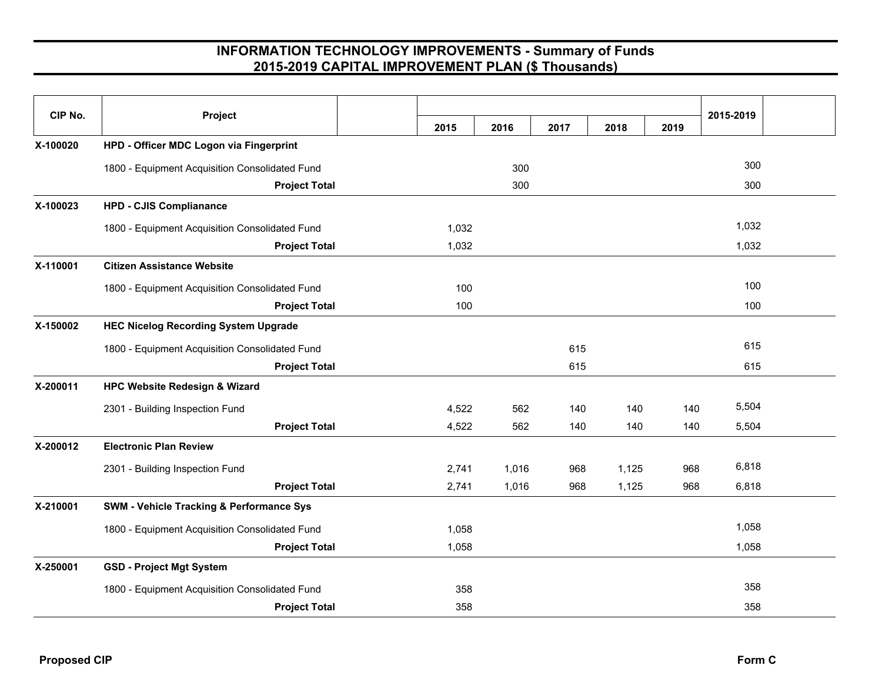| CIP No.  | Project                                             |       |       |      |       |      | 2015-2019 |  |
|----------|-----------------------------------------------------|-------|-------|------|-------|------|-----------|--|
|          |                                                     | 2015  | 2016  | 2017 | 2018  | 2019 |           |  |
| X-100020 | HPD - Officer MDC Logon via Fingerprint             |       |       |      |       |      |           |  |
|          | 1800 - Equipment Acquisition Consolidated Fund      |       | 300   |      |       |      | 300       |  |
|          | <b>Project Total</b>                                |       | 300   |      |       |      | 300       |  |
| X-100023 | <b>HPD - CJIS Complianance</b>                      |       |       |      |       |      |           |  |
|          | 1800 - Equipment Acquisition Consolidated Fund      | 1,032 |       |      |       |      | 1,032     |  |
|          | <b>Project Total</b>                                | 1,032 |       |      |       |      | 1,032     |  |
| X-110001 | <b>Citizen Assistance Website</b>                   |       |       |      |       |      |           |  |
|          | 1800 - Equipment Acquisition Consolidated Fund      | 100   |       |      |       |      | 100       |  |
|          | <b>Project Total</b>                                | 100   |       |      |       |      | 100       |  |
| X-150002 | <b>HEC Nicelog Recording System Upgrade</b>         |       |       |      |       |      |           |  |
|          | 1800 - Equipment Acquisition Consolidated Fund      |       |       | 615  |       |      | 615       |  |
|          | <b>Project Total</b>                                |       |       | 615  |       |      | 615       |  |
| X-200011 | <b>HPC Website Redesign &amp; Wizard</b>            |       |       |      |       |      |           |  |
|          | 2301 - Building Inspection Fund                     | 4,522 | 562   | 140  | 140   | 140  | 5,504     |  |
|          | <b>Project Total</b>                                | 4,522 | 562   | 140  | 140   | 140  | 5,504     |  |
| X-200012 | <b>Electronic Plan Review</b>                       |       |       |      |       |      |           |  |
|          | 2301 - Building Inspection Fund                     | 2,741 | 1,016 | 968  | 1,125 | 968  | 6,818     |  |
|          | <b>Project Total</b>                                | 2,741 | 1,016 | 968  | 1,125 | 968  | 6,818     |  |
| X-210001 | <b>SWM - Vehicle Tracking &amp; Performance Sys</b> |       |       |      |       |      |           |  |
|          | 1800 - Equipment Acquisition Consolidated Fund      | 1,058 |       |      |       |      | 1,058     |  |
|          | <b>Project Total</b>                                | 1,058 |       |      |       |      | 1,058     |  |
| X-250001 | <b>GSD - Project Mgt System</b>                     |       |       |      |       |      |           |  |
|          | 1800 - Equipment Acquisition Consolidated Fund      | 358   |       |      |       |      | 358       |  |
|          | <b>Project Total</b>                                | 358   |       |      |       |      | 358       |  |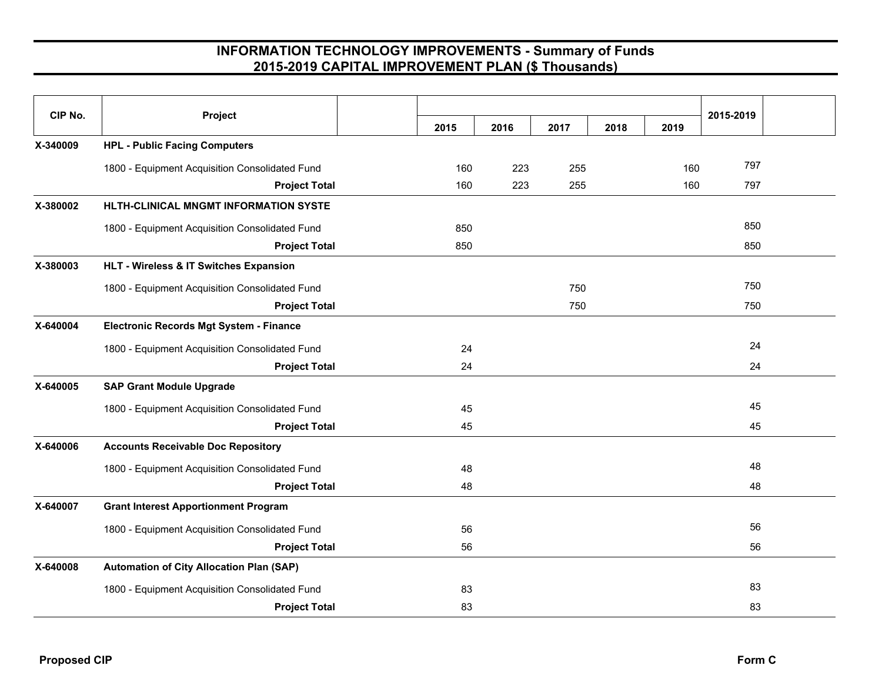| CIP No.  | Project                                         | 2015 | 2016 | 2017 | 2018 | 2019 | 2015-2019 |  |
|----------|-------------------------------------------------|------|------|------|------|------|-----------|--|
| X-340009 | <b>HPL - Public Facing Computers</b>            |      |      |      |      |      |           |  |
|          | 1800 - Equipment Acquisition Consolidated Fund  | 160  | 223  | 255  |      | 160  | 797       |  |
|          | <b>Project Total</b>                            | 160  | 223  | 255  |      | 160  | 797       |  |
| X-380002 | HLTH-CLINICAL MNGMT INFORMATION SYSTE           |      |      |      |      |      |           |  |
|          | 1800 - Equipment Acquisition Consolidated Fund  | 850  |      |      |      |      | 850       |  |
|          | <b>Project Total</b>                            | 850  |      |      |      |      | 850       |  |
| X-380003 | HLT - Wireless & IT Switches Expansion          |      |      |      |      |      |           |  |
|          | 1800 - Equipment Acquisition Consolidated Fund  |      |      | 750  |      |      | 750       |  |
|          | <b>Project Total</b>                            |      |      | 750  |      |      | 750       |  |
| X-640004 | <b>Electronic Records Mgt System - Finance</b>  |      |      |      |      |      |           |  |
|          | 1800 - Equipment Acquisition Consolidated Fund  | 24   |      |      |      |      | 24        |  |
|          | <b>Project Total</b>                            | 24   |      |      |      |      | 24        |  |
| X-640005 | <b>SAP Grant Module Upgrade</b>                 |      |      |      |      |      |           |  |
|          | 1800 - Equipment Acquisition Consolidated Fund  | 45   |      |      |      |      | 45        |  |
|          | <b>Project Total</b>                            | 45   |      |      |      |      | 45        |  |
| X-640006 | <b>Accounts Receivable Doc Repository</b>       |      |      |      |      |      |           |  |
|          | 1800 - Equipment Acquisition Consolidated Fund  | 48   |      |      |      |      | 48        |  |
|          | <b>Project Total</b>                            | 48   |      |      |      |      | 48        |  |
| X-640007 | <b>Grant Interest Apportionment Program</b>     |      |      |      |      |      |           |  |
|          | 1800 - Equipment Acquisition Consolidated Fund  | 56   |      |      |      |      | 56        |  |
|          | <b>Project Total</b>                            | 56   |      |      |      |      | 56        |  |
| X-640008 | <b>Automation of City Allocation Plan (SAP)</b> |      |      |      |      |      |           |  |
|          | 1800 - Equipment Acquisition Consolidated Fund  | 83   |      |      |      |      | 83        |  |
|          | <b>Project Total</b>                            | 83   |      |      |      |      | 83        |  |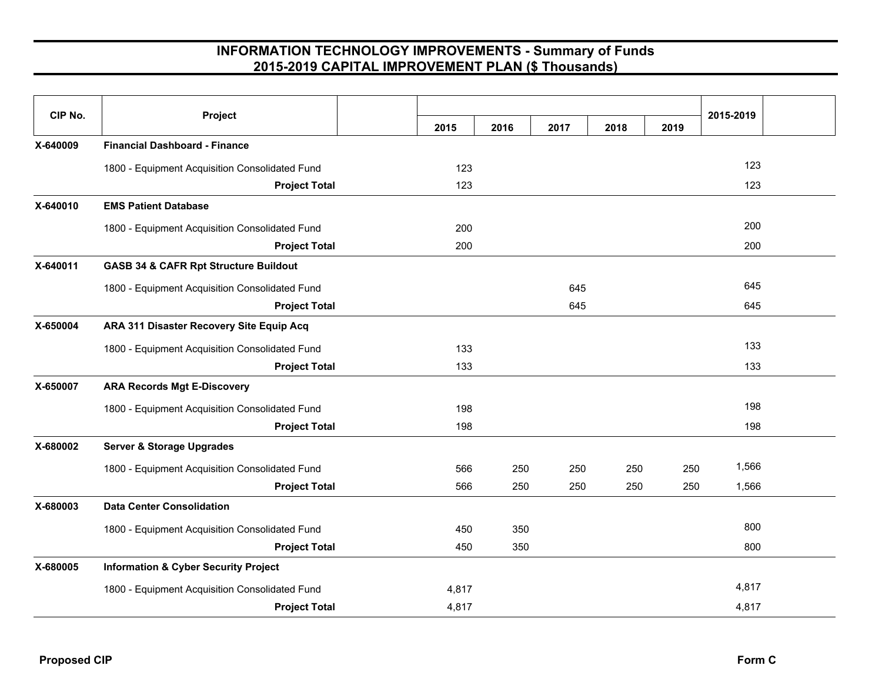| CIP No.  | Project                                          | 2015  | 2016 | 2017 | 2018 | 2019 | 2015-2019 |  |
|----------|--------------------------------------------------|-------|------|------|------|------|-----------|--|
| X-640009 | <b>Financial Dashboard - Finance</b>             |       |      |      |      |      |           |  |
|          | 1800 - Equipment Acquisition Consolidated Fund   | 123   |      |      |      |      | 123       |  |
|          | <b>Project Total</b>                             | 123   |      |      |      |      | 123       |  |
| X-640010 | <b>EMS Patient Database</b>                      |       |      |      |      |      |           |  |
|          | 1800 - Equipment Acquisition Consolidated Fund   | 200   |      |      |      |      | 200       |  |
|          | <b>Project Total</b>                             | 200   |      |      |      |      | 200       |  |
| X-640011 | <b>GASB 34 &amp; CAFR Rpt Structure Buildout</b> |       |      |      |      |      |           |  |
|          | 1800 - Equipment Acquisition Consolidated Fund   |       |      | 645  |      |      | 645       |  |
|          | <b>Project Total</b>                             |       |      | 645  |      |      | 645       |  |
| X-650004 | ARA 311 Disaster Recovery Site Equip Acq         |       |      |      |      |      |           |  |
|          | 1800 - Equipment Acquisition Consolidated Fund   | 133   |      |      |      |      | 133       |  |
|          | <b>Project Total</b>                             | 133   |      |      |      |      | 133       |  |
| X-650007 | <b>ARA Records Mgt E-Discovery</b>               |       |      |      |      |      |           |  |
|          | 1800 - Equipment Acquisition Consolidated Fund   | 198   |      |      |      |      | 198       |  |
|          | <b>Project Total</b>                             | 198   |      |      |      |      | 198       |  |
| X-680002 | <b>Server &amp; Storage Upgrades</b>             |       |      |      |      |      |           |  |
|          | 1800 - Equipment Acquisition Consolidated Fund   | 566   | 250  | 250  | 250  | 250  | 1,566     |  |
|          | <b>Project Total</b>                             | 566   | 250  | 250  | 250  | 250  | 1,566     |  |
| X-680003 | <b>Data Center Consolidation</b>                 |       |      |      |      |      |           |  |
|          | 1800 - Equipment Acquisition Consolidated Fund   | 450   | 350  |      |      |      | 800       |  |
|          | <b>Project Total</b>                             | 450   | 350  |      |      |      | 800       |  |
| X-680005 | <b>Information &amp; Cyber Security Project</b>  |       |      |      |      |      |           |  |
|          | 1800 - Equipment Acquisition Consolidated Fund   | 4,817 |      |      |      |      | 4,817     |  |
|          | <b>Project Total</b>                             | 4,817 |      |      |      |      | 4,817     |  |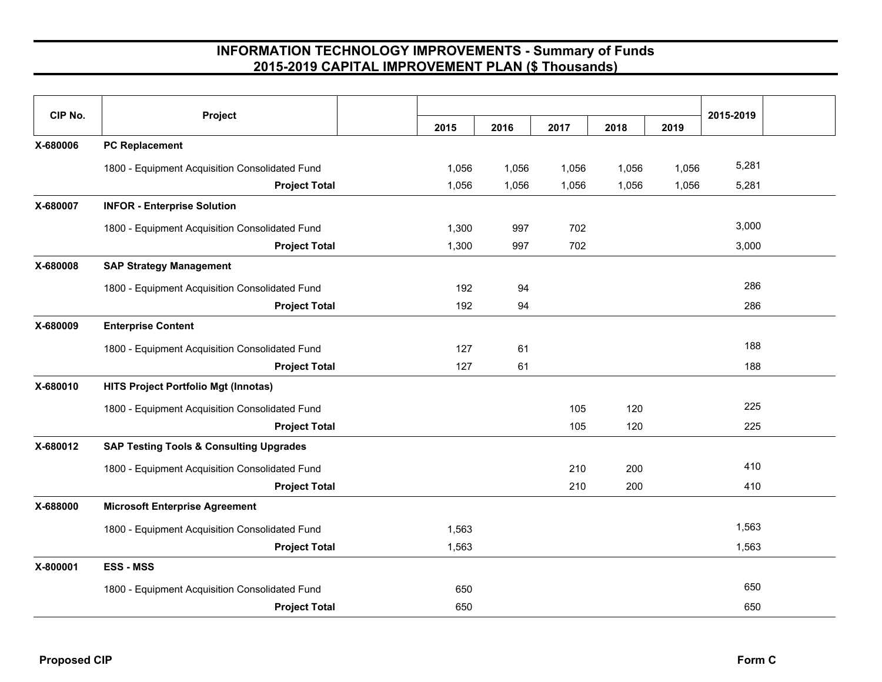| CIP No.  | Project                                            | 2015  | 2016  | 2017  | 2018  | 2019  | 2015-2019 |
|----------|----------------------------------------------------|-------|-------|-------|-------|-------|-----------|
| X-680006 | <b>PC Replacement</b>                              |       |       |       |       |       |           |
|          | 1800 - Equipment Acquisition Consolidated Fund     | 1,056 | 1,056 | 1,056 | 1,056 | 1,056 | 5,281     |
|          | <b>Project Total</b>                               | 1,056 | 1,056 | 1,056 | 1,056 | 1,056 | 5,281     |
| X-680007 | <b>INFOR - Enterprise Solution</b>                 |       |       |       |       |       |           |
|          | 1800 - Equipment Acquisition Consolidated Fund     | 1,300 | 997   | 702   |       |       | 3,000     |
|          | <b>Project Total</b>                               | 1,300 | 997   | 702   |       |       | 3,000     |
| X-680008 | <b>SAP Strategy Management</b>                     |       |       |       |       |       |           |
|          | 1800 - Equipment Acquisition Consolidated Fund     | 192   | 94    |       |       |       | 286       |
|          | <b>Project Total</b>                               | 192   | 94    |       |       |       | 286       |
| X-680009 | <b>Enterprise Content</b>                          |       |       |       |       |       |           |
|          | 1800 - Equipment Acquisition Consolidated Fund     | 127   | 61    |       |       |       | 188       |
|          | <b>Project Total</b>                               | 127   | 61    |       |       |       | 188       |
| X-680010 | <b>HITS Project Portfolio Mgt (Innotas)</b>        |       |       |       |       |       |           |
|          | 1800 - Equipment Acquisition Consolidated Fund     |       |       | 105   | 120   |       | 225       |
|          | <b>Project Total</b>                               |       |       | 105   | 120   |       | 225       |
| X-680012 | <b>SAP Testing Tools &amp; Consulting Upgrades</b> |       |       |       |       |       |           |
|          | 1800 - Equipment Acquisition Consolidated Fund     |       |       | 210   | 200   |       | 410       |
|          | <b>Project Total</b>                               |       |       | 210   | 200   |       | 410       |
| X-688000 | <b>Microsoft Enterprise Agreement</b>              |       |       |       |       |       |           |
|          | 1800 - Equipment Acquisition Consolidated Fund     | 1,563 |       |       |       |       | 1,563     |
|          | <b>Project Total</b>                               | 1,563 |       |       |       |       | 1,563     |
| X-800001 | <b>ESS - MSS</b>                                   |       |       |       |       |       |           |
|          | 1800 - Equipment Acquisition Consolidated Fund     | 650   |       |       |       |       | 650       |
|          | <b>Project Total</b>                               | 650   |       |       |       |       | 650       |